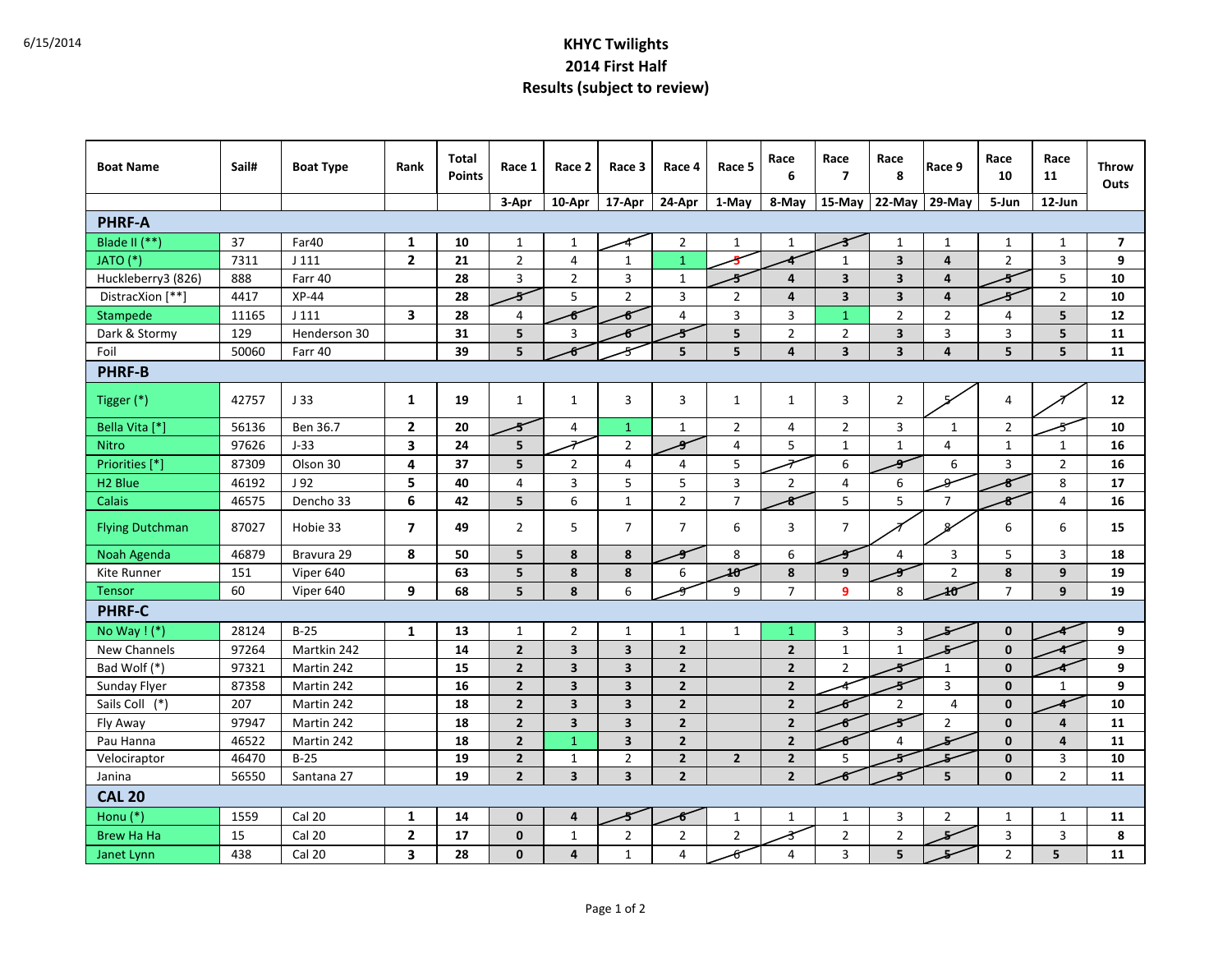## **KHYC Twilights 2014 First Half Results (subject to review)**

| <b>Boat Name</b>        | Sail# | <b>Boat Type</b> | Rank           | Total<br><b>Points</b> | Race 1         | Race 2                  | Race 3                  | Race 4                  | Race 5         | Race<br>6      | Race<br>$\overline{7}$  | Race<br>8               | Race 9         | Race<br>10     | Race<br>11              | <b>Throw</b><br>Outs |
|-------------------------|-------|------------------|----------------|------------------------|----------------|-------------------------|-------------------------|-------------------------|----------------|----------------|-------------------------|-------------------------|----------------|----------------|-------------------------|----------------------|
|                         |       |                  |                |                        | 3-Apr          | 10-Apr                  | 17-Apr                  | 24-Apr                  | 1-May          | 8-May          | 15-May                  | 22-May                  | 29-May         | 5-Jun          | 12-Jun                  |                      |
| <b>PHRF-A</b>           |       |                  |                |                        |                |                         |                         |                         |                |                |                         |                         |                |                |                         |                      |
| Blade II $(**)$         | 37    | Far40            | $\mathbf{1}$   | 10                     | $\mathbf{1}$   | $\mathbf{1}$            |                         | $\overline{2}$          | $\mathbf{1}$   | $\mathbf{1}$   | ぅ                       | $\mathbf{1}$            | $\mathbf{1}$   | $\mathbf{1}$   | $\mathbf{1}$            | $\overline{7}$       |
| JATO (*)                | 7311  | J <sub>111</sub> | $\mathbf{2}$   | 21                     | $\overline{2}$ | 4                       | $\mathbf{1}$            | $\mathbf{1}$            |                |                | $\mathbf{1}$            | $\overline{\mathbf{3}}$ | $\overline{4}$ | $\overline{2}$ | 3                       | 9                    |
| Huckleberry3 (826)      | 888   | Farr 40          |                | 28                     | 3              | $\mathbf 2$             | $\mathsf 3$             | $\mathbf{1}$            | -5             | 4              | 3                       | 3                       | $\overline{4}$ |                | 5                       | 10                   |
| DistracXion [**]        | 4417  | $XP-44$          |                | 28                     | 5              | 5                       | $\overline{2}$          | 3                       | $\overline{2}$ | $\overline{a}$ | $\overline{\mathbf{3}}$ | $\overline{\mathbf{3}}$ | $\overline{4}$ |                | $\overline{2}$          | 10                   |
| Stampede                | 11165 | J <sub>111</sub> | 3              | 28                     | 4              |                         | 6                       | $\overline{4}$          | 3              | 3              | $\mathbf{1}$            | $\overline{2}$          | $\overline{2}$ | 4              | 5                       | 12                   |
| Dark & Stormy           | 129   | Henderson 30     |                | 31                     | 5              | 3                       | -6                      |                         | 5              | $\overline{2}$ | $\overline{2}$          | $\overline{\mathbf{3}}$ | 3              | 3              | 5                       | 11                   |
| Foil                    | 50060 | Farr 40          |                | 39                     | 5              |                         | s                       | 5                       | 5              | $\overline{a}$ | 3                       | $\overline{\mathbf{3}}$ | $\overline{a}$ | 5              | 5                       | 11                   |
| <b>PHRF-B</b>           |       |                  |                |                        |                |                         |                         |                         |                |                |                         |                         |                |                |                         |                      |
| Tigger (*)              | 42757 | J33              | $\mathbf{1}$   | 19                     | $\mathbf{1}$   | $\mathbf{1}$            | 3                       | 3                       | $\mathbf{1}$   | $\mathbf{1}$   | 3                       | $\overline{2}$          |                | 4              |                         | 12                   |
| Bella Vita [*]          | 56136 | Ben 36.7         | $\overline{2}$ | 20                     | っち             | 4                       | $\mathbf{1}$            | $\mathbf{1}$            | $\overline{2}$ | 4              | $\overline{2}$          | 3                       | $\mathbf{1}$   | $\overline{2}$ |                         | 10                   |
| <b>Nitro</b>            | 97626 | $J-33$           | 3              | 24                     | 5              |                         | $\overline{2}$          | g                       | 4              | 5              | $1\,$                   | $\mathbf{1}$            | $\overline{4}$ | $\mathbf{1}$   | $\mathbf{1}$            | 16                   |
| Priorities [*]          | 87309 | Olson 30         | 4              | 37                     | 5              | $\overline{2}$          | $\overline{4}$          | 4                       | 5              |                | 6                       |                         | 6              | $\overline{3}$ | $\overline{2}$          | 16                   |
| H <sub>2</sub> Blue     | 46192 | J <sub>92</sub>  | 5              | 40                     | 4              | 3                       | 5                       | 5                       | 3              | $\overline{2}$ | $\overline{4}$          | 6                       | ىم             |                | 8                       | 17                   |
| <b>Calais</b>           | 46575 | Dencho 33        | 6              | 42                     | 5              | 6                       | $\mathbf{1}$            | $\overline{2}$          | $\overline{7}$ | r              | 5                       | 5                       | $\overline{7}$ |                | 4                       | 16                   |
| <b>Flying Dutchman</b>  | 87027 | Hobie 33         | $\overline{7}$ | 49                     | $\overline{2}$ | 5                       | $\overline{7}$          | $\overline{7}$          | 6              | 3              | 7                       |                         | 2              | 6              | 6                       | 15                   |
| Noah Agenda             | 46879 | Bravura 29       | 8              | 50                     | 5              | 8                       | 8                       |                         | 8              | 6              |                         | 4                       | 3              | 5              | 3                       | 18                   |
| Kite Runner             | 151   | Viper 640        |                | 63                     | 5              | 8                       | $\pmb{8}$               | 6                       | 40             | 8              | 9                       |                         | $\overline{2}$ | 8              | 9                       | 19                   |
| <b>Tensor</b>           | 60    | Viper 640        | 9              | 68                     | 5              | 8                       | 6                       |                         | 9              | $\overline{7}$ | 9                       | 8                       | 10             | $\overline{7}$ | 9                       | 19                   |
| <b>PHRF-C</b>           |       |                  |                |                        |                |                         |                         |                         |                |                |                         |                         |                |                |                         |                      |
| No Way $\mathsf{I}$ (*) | 28124 | $B-25$           | $\mathbf{1}$   | 13                     | $\mathbf{1}$   | $\overline{2}$          | $\mathbf{1}$            | $\mathbf{1}$            | $\mathbf{1}$   | $\mathbf{1}$   | 3                       | 3                       |                | $\mathbf{0}$   |                         | 9                    |
| New Channels            | 97264 | Martkin 242      |                | 14                     | $\overline{2}$ | 3                       | $\overline{\mathbf{3}}$ | $\overline{2}$          |                | $\overline{2}$ | $\mathbf{1}$            | $\mathbf{1}$            |                | $\mathbf{0}$   |                         | 9                    |
| Bad Wolf (*)            | 97321 | Martin 242       |                | 15                     | $\mathbf 2$    | 3                       | $\mathsf 3$             | $\mathbf{2}$            |                | $\overline{2}$ | $\mathbf 2$             |                         | $\mathbf 1$    | $\mathbf{0}$   |                         | 9                    |
| Sunday Flyer            | 87358 | Martin 242       |                | 16                     | $\overline{2}$ | 3                       | $\overline{\mathbf{3}}$ | $\overline{2}$          |                | $\overline{2}$ |                         |                         | 3              | $\mathbf{0}$   | $\mathbf{1}$            | 9                    |
| $(*)$<br>Sails Coll     | 207   | Martin 242       |                | 18                     | $\mathbf 2$    | $\overline{\mathbf{3}}$ | $\overline{\mathbf{3}}$ | $\overline{2}$          |                | $\overline{2}$ | 8                       | $\overline{2}$          | $\overline{4}$ | $\mathbf{0}$   |                         | 10                   |
| Fly Away                | 97947 | Martin 242       |                | 18                     | $\overline{2}$ | $\overline{\mathbf{3}}$ | $\overline{\mathbf{3}}$ | $\overline{2}$          |                | $\overline{2}$ | -6                      |                         | $\overline{2}$ | $\mathbf{0}$   | $\overline{\mathbf{4}}$ | 11                   |
| Pau Hanna               | 46522 | Martin 242       |                | 18                     | $\overline{2}$ | $\mathbf{1}$            | $\overline{\mathbf{3}}$ | $\overline{2}$          |                | $\overline{2}$ | 6                       | 4                       | سيخد           | $\mathbf{0}$   | $\overline{\mathbf{4}}$ | 11                   |
| Velociraptor            | 46470 | $B-25$           |                | 19                     | $\mathbf{2}$   | $\mathbf{1}$            | $\overline{2}$          | $\overline{\mathbf{2}}$ | $\overline{2}$ | $\mathbf 2$    | 5                       |                         | æ,             | 0              | $\overline{3}$          | 10                   |
| Janina                  | 56550 | Santana 27       |                | 19                     | $\overline{2}$ | 3                       | $\overline{\mathbf{3}}$ | $\overline{2}$          |                | $\overline{2}$ |                         |                         | 5              | $\mathbf{0}$   | $\overline{2}$          | 11                   |
| <b>CAL 20</b>           |       |                  |                |                        |                |                         |                         |                         |                |                |                         |                         |                |                |                         |                      |
| Honu $(*)$              | 1559  | Cal 20           | 1              | 14                     | $\mathbf 0$    | 4                       | -5                      | -6                      | 1              | $\mathbf{1}$   | 1                       | 3                       | $\overline{2}$ | 1              | 1                       | 11                   |
| <b>Brew Ha Ha</b>       | 15    | Cal 20           | $\mathbf{2}$   | 17                     | $\bf{0}$       | $\mathbf{1}$            | $\overline{2}$          | $\overline{2}$          | $\overline{2}$ |                | $\mathbf 2$             | $\overline{2}$          | s              | 3              | 3                       | 8                    |
| Janet Lynn              | 438   | Cal 20           | 3              | 28                     | $\mathbf{0}$   | $\overline{\mathbf{4}}$ | $\mathbf{1}$            | 4                       |                | $\overline{4}$ | 3                       | 5                       | ىق             | $\overline{2}$ | 5                       | 11                   |